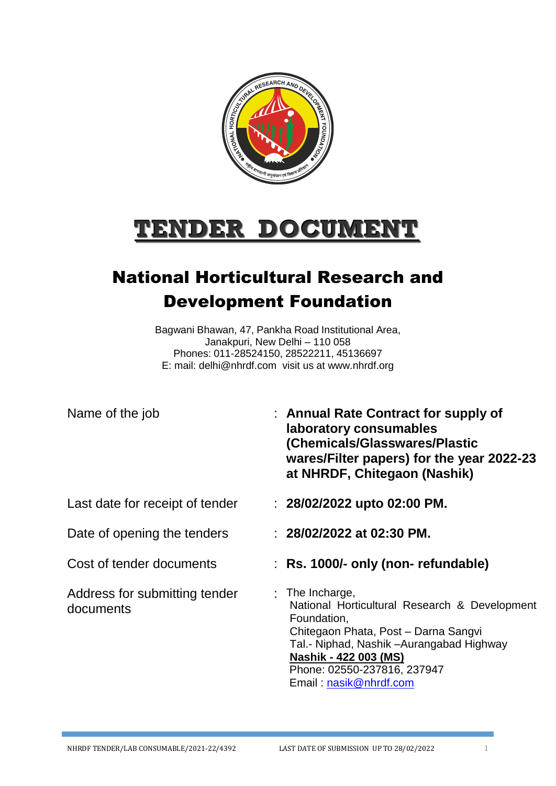

# **TENDER DOCUMENT**

## National Horticultural Research and Development Foundation

Bagwani Bhawan, 47, Pankha Road Institutional Area, Janakpuri, New Delhi – 110 058 Phones: 011-28524150, 28522211, 45136697 E: mail: [delhi@nhrdf.com](mailto:delhi@nhrdf.com) visit us at [www.nhrdf.org](http://www.nhrdf.org/)

| Name of the job                            | : Annual Rate Contract for supply of<br>laboratory consumables<br>(Chemicals/Glasswares/Plastic<br>wares/Filter papers) for the year 2022-23<br>at NHRDF, Chitegaon (Nashik)                                                                                   |
|--------------------------------------------|----------------------------------------------------------------------------------------------------------------------------------------------------------------------------------------------------------------------------------------------------------------|
| Last date for receipt of tender            | : $28/02/2022$ upto 02:00 PM.                                                                                                                                                                                                                                  |
| Date of opening the tenders                | : $28/02/2022$ at 02:30 PM.                                                                                                                                                                                                                                    |
| Cost of tender documents                   | : Rs. 1000/- only (non- refundable)                                                                                                                                                                                                                            |
| Address for submitting tender<br>documents | $:$ The Incharge,<br>National Horticultural Research & Development<br>Foundation,<br>Chitegaon Phata, Post - Darna Sangvi<br>Tal.- Niphad, Nashik –Aurangabad Highway<br><b>Nashik - 422 003 (MS)</b><br>Phone: 02550-237816, 237947<br>Email: nasik@nhrdf.com |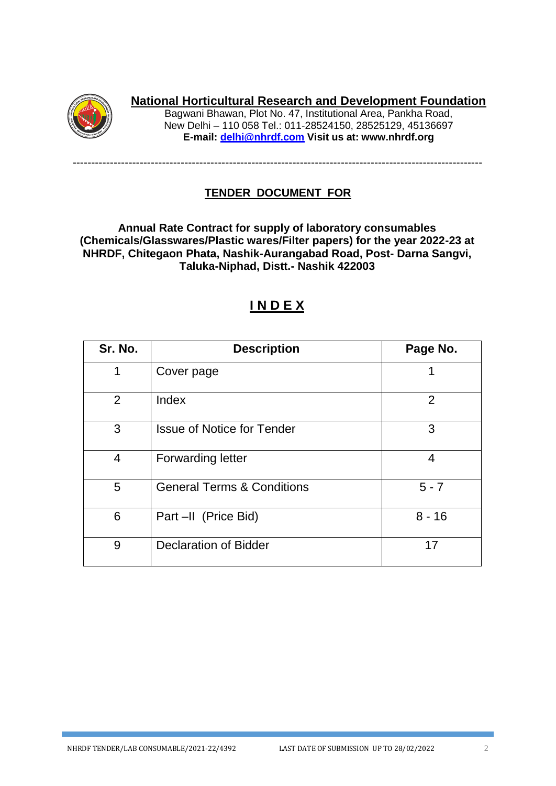

## **National Horticultural Research and Development Foundation**

Bagwani Bhawan, Plot No. 47, Institutional Area, Pankha Road, New Delhi – 110 058 Tel.: 011-28524150, 28525129, 45136697 **E-mail: [delhi@nhrdf.com](mailto:delhi@nhrdf.com) Visit us at: [www.nhrdf.org](http://www.nhrdf.org/)**

## **TENDER DOCUMENT FOR**

--------------------------------------------------------------------------------------------------------------

**Annual Rate Contract for supply of laboratory consumables (Chemicals/Glasswares/Plastic wares/Filter papers) for the year 2022-23 at NHRDF, Chitegaon Phata, Nashik-Aurangabad Road, Post- Darna Sangvi, Taluka-Niphad, Distt.- Nashik 422003**

## **I N D E X**

| Sr. No. | <b>Description</b>                    | Page No.       |
|---------|---------------------------------------|----------------|
| 1       | Cover page                            |                |
| 2       | Index                                 | $\overline{2}$ |
| 3       | <b>Issue of Notice for Tender</b>     | 3              |
| 4       | <b>Forwarding letter</b>              | 4              |
| 5       | <b>General Terms &amp; Conditions</b> | $5 - 7$        |
| 6       | Part -II (Price Bid)                  | $8 - 16$       |
| 9       | <b>Declaration of Bidder</b>          | 17             |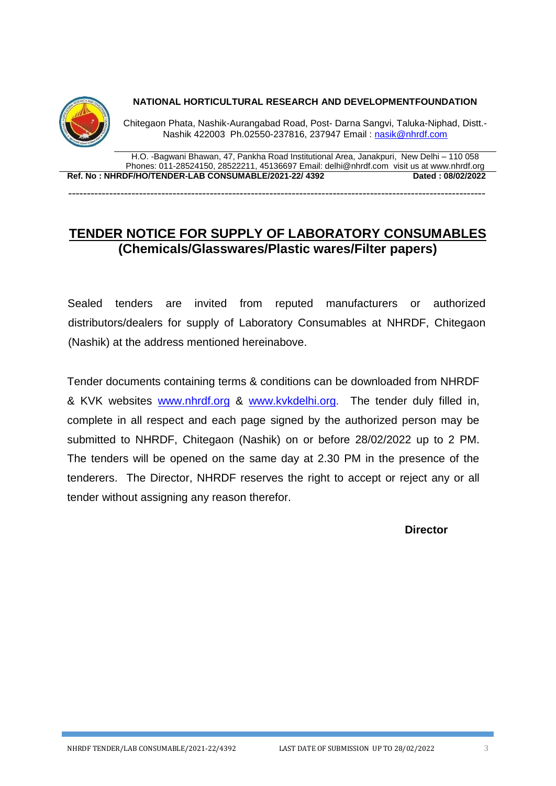

**NATIONAL HORTICULTURAL RESEARCH AND DEVELOPMENTFOUNDATION**

Chitegaon Phata, Nashik-Aurangabad Road, Post- Darna Sangvi, Taluka-Niphad, Distt.- Nashik 422003 Ph.02550-237816, 237947 Email : [nasik@nhrdf.com](mailto:nasik@nhrdf.com)

H.O. -Bagwani Bhawan, 47, Pankha Road Institutional Area, Janakpuri, New Delhi – 110 058 Phones: 011-28524150, 28522211, 45136697 Email: [delhi@nhrdf.com](mailto:delhi@nhrdf.com) visit us at [www.nhrdf.org](http://www.nhrdf.org/) **Ref. No : NHRDF/HO/TENDER-LAB CONSUMABLE/2021-22/ 4392 Dated : 08/02/2022** 

----------------------------------------------------------------------------------------------------------------

## **TENDER NOTICE FOR SUPPLY OF LABORATORY CONSUMABLES (Chemicals/Glasswares/Plastic wares/Filter papers)**

Sealed tenders are invited from reputed manufacturers or authorized distributors/dealers for supply of Laboratory Consumables at NHRDF, Chitegaon (Nashik) at the address mentioned hereinabove.

Tender documents containing terms & conditions can be downloaded from NHRDF & KVK websites [www.nhrdf.org](http://www.nhrdf.org/) & [www.kvkdelhi.org.](http://www.kvkdelhi.org/) The tender duly filled in, complete in all respect and each page signed by the authorized person may be submitted to NHRDF, Chitegaon (Nashik) on or before 28/02/2022 up to 2 PM. The tenders will be opened on the same day at 2.30 PM in the presence of the tenderers. The Director, NHRDF reserves the right to accept or reject any or all tender without assigning any reason therefor.

**Director**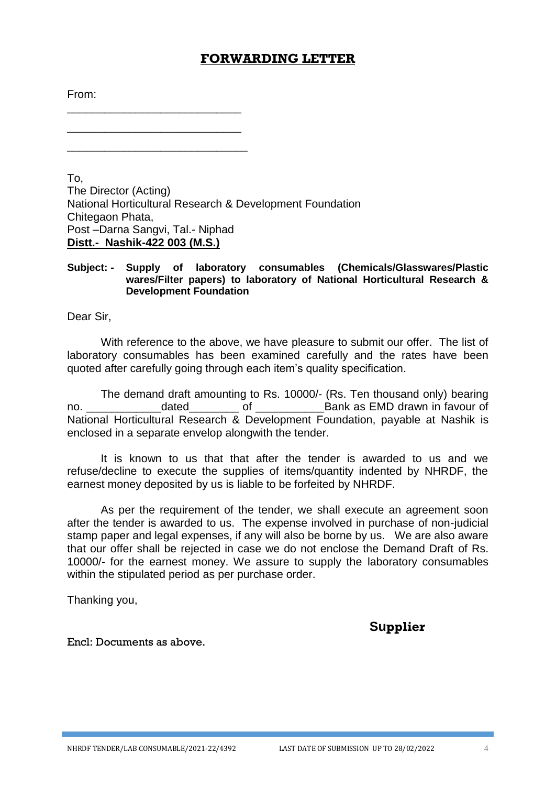#### **FORWARDING LETTER**

From:

\_\_\_\_\_\_\_\_\_\_\_\_\_\_\_\_\_\_\_\_\_\_\_\_\_\_\_\_

\_\_\_\_\_\_\_\_\_\_\_\_\_\_\_\_\_\_\_\_\_\_\_\_\_\_\_\_\_

\_\_\_\_\_\_\_\_\_\_\_\_\_\_\_\_\_\_\_\_\_\_\_\_\_\_\_\_

To, The Director (Acting) National Horticultural Research & Development Foundation Chitegaon Phata, Post –Darna Sangvi, Tal.- Niphad **Distt.- Nashik-422 003 (M.S.)**

#### **Subject: - Supply of laboratory consumables (Chemicals/Glasswares/Plastic wares/Filter papers) to laboratory of National Horticultural Research & Development Foundation**

Dear Sir,

With reference to the above, we have pleasure to submit our offer. The list of laboratory consumables has been examined carefully and the rates have been quoted after carefully going through each item's quality specification.

The demand draft amounting to Rs. 10000/- (Rs. Ten thousand only) bearing no. **dated** of **Bank as EMD drawn in favour of <b>EMD** drawn in favour of National Horticultural Research & Development Foundation, payable at Nashik is enclosed in a separate envelop alongwith the tender.

It is known to us that that after the tender is awarded to us and we refuse/decline to execute the supplies of items/quantity indented by NHRDF, the earnest money deposited by us is liable to be forfeited by NHRDF.

As per the requirement of the tender, we shall execute an agreement soon after the tender is awarded to us. The expense involved in purchase of non-judicial stamp paper and legal expenses, if any will also be borne by us. We are also aware that our offer shall be rejected in case we do not enclose the Demand Draft of Rs. 10000/- for the earnest money. We assure to supply the laboratory consumables within the stipulated period as per purchase order.

Thanking you,

**Supplier**

Encl: Documents as above.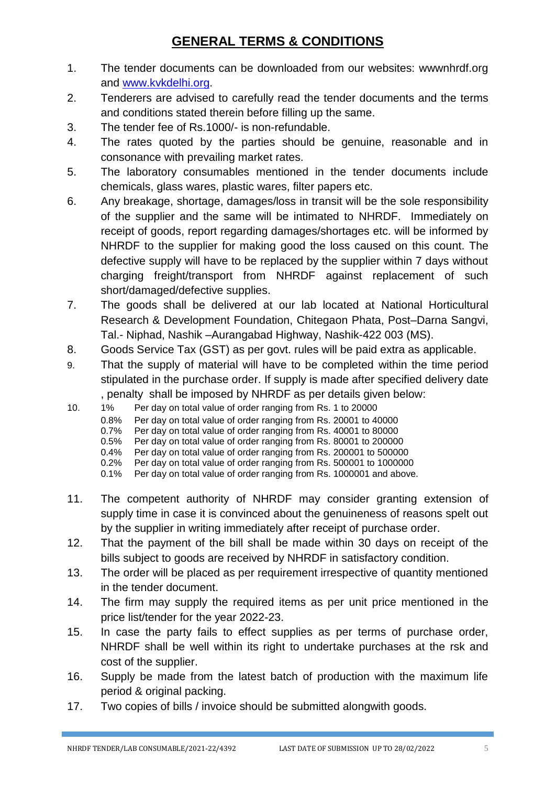## **GENERAL TERMS & CONDITIONS**

- 1. The tender documents can be downloaded from our websites: wwwnhrdf.org and [www.kvkdelhi.org.](http://www.kvkdelhi.org/)
- 2. Tenderers are advised to carefully read the tender documents and the terms and conditions stated therein before filling up the same.
- 3. The tender fee of Rs.1000/- is non-refundable.
- 4. The rates quoted by the parties should be genuine, reasonable and in consonance with prevailing market rates.
- 5. The laboratory consumables mentioned in the tender documents include chemicals, glass wares, plastic wares, filter papers etc.
- 6. Any breakage, shortage, damages/loss in transit will be the sole responsibility of the supplier and the same will be intimated to NHRDF. Immediately on receipt of goods, report regarding damages/shortages etc. will be informed by NHRDF to the supplier for making good the loss caused on this count. The defective supply will have to be replaced by the supplier within 7 days without charging freight/transport from NHRDF against replacement of such short/damaged/defective supplies.
- 7. The goods shall be delivered at our lab located at National Horticultural Research & Development Foundation, Chitegaon Phata, Post–Darna Sangvi, Tal.- Niphad, Nashik –Aurangabad Highway, Nashik-422 003 (MS).
- 8. Goods Service Tax (GST) as per govt. rules will be paid extra as applicable.
- 9. That the supply of material will have to be completed within the time period stipulated in the purchase order. If supply is made after specified delivery date , penalty shall be imposed by NHRDF as per details given below:
- 10. 1% Per day on total value of order ranging from Rs. 1 to 20000
	- 0.8% Per day on total value of order ranging from Rs. 20001 to 40000
	- 0.7% Per day on total value of order ranging from Rs. 40001 to 80000<br>0.5% Per day on total value of order ranging from Rs. 80001 to 200000
	- Per day on total value of order ranging from Rs. 80001 to 200000
	- 0.4% Per day on total value of order ranging from Rs. 200001 to 500000
	- 0.2% Per day on total value of order ranging from Rs. 500001 to 1000000
	- 0.1% Per day on total value of order ranging from Rs. 1000001 and above.
- 11. The competent authority of NHRDF may consider granting extension of supply time in case it is convinced about the genuineness of reasons spelt out by the supplier in writing immediately after receipt of purchase order.
- 12. That the payment of the bill shall be made within 30 days on receipt of the bills subject to goods are received by NHRDF in satisfactory condition.
- 13. The order will be placed as per requirement irrespective of quantity mentioned in the tender document.
- 14. The firm may supply the required items as per unit price mentioned in the price list/tender for the year 2022-23.
- 15. In case the party fails to effect supplies as per terms of purchase order, NHRDF shall be well within its right to undertake purchases at the rsk and cost of the supplier.
- 16. Supply be made from the latest batch of production with the maximum life period & original packing.
- 17. Two copies of bills / invoice should be submitted alongwith goods.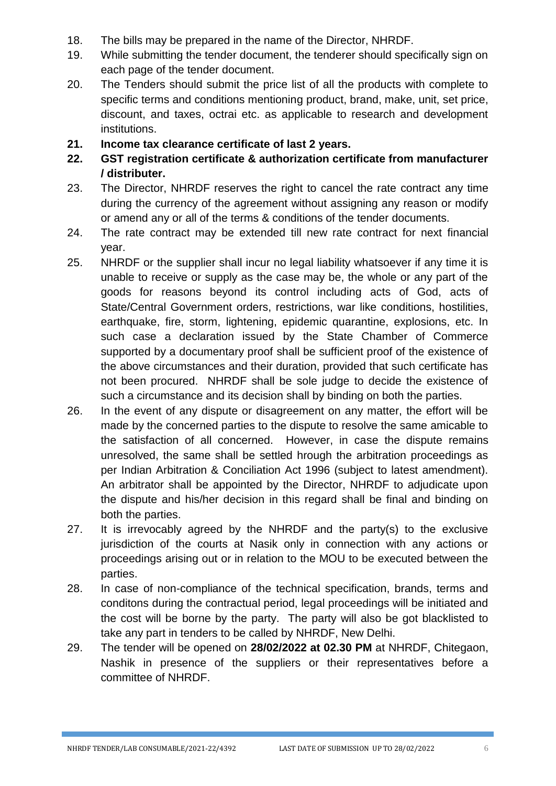- 18. The bills may be prepared in the name of the Director, NHRDF.
- 19. While submitting the tender document, the tenderer should specifically sign on each page of the tender document.
- 20. The Tenders should submit the price list of all the products with complete to specific terms and conditions mentioning product, brand, make, unit, set price, discount, and taxes, octrai etc. as applicable to research and development institutions.
- **21. Income tax clearance certificate of last 2 years.**
- **22. GST registration certificate & authorization certificate from manufacturer / distributer.**
- 23. The Director, NHRDF reserves the right to cancel the rate contract any time during the currency of the agreement without assigning any reason or modify or amend any or all of the terms & conditions of the tender documents.
- 24. The rate contract may be extended till new rate contract for next financial year.
- 25. NHRDF or the supplier shall incur no legal liability whatsoever if any time it is unable to receive or supply as the case may be, the whole or any part of the goods for reasons beyond its control including acts of God, acts of State/Central Government orders, restrictions, war like conditions, hostilities, earthquake, fire, storm, lightening, epidemic quarantine, explosions, etc. In such case a declaration issued by the State Chamber of Commerce supported by a documentary proof shall be sufficient proof of the existence of the above circumstances and their duration, provided that such certificate has not been procured. NHRDF shall be sole judge to decide the existence of such a circumstance and its decision shall by binding on both the parties.
- 26. In the event of any dispute or disagreement on any matter, the effort will be made by the concerned parties to the dispute to resolve the same amicable to the satisfaction of all concerned. However, in case the dispute remains unresolved, the same shall be settled hrough the arbitration proceedings as per Indian Arbitration & Conciliation Act 1996 (subject to latest amendment). An arbitrator shall be appointed by the Director, NHRDF to adjudicate upon the dispute and his/her decision in this regard shall be final and binding on both the parties.
- 27. It is irrevocably agreed by the NHRDF and the party(s) to the exclusive jurisdiction of the courts at Nasik only in connection with any actions or proceedings arising out or in relation to the MOU to be executed between the parties.
- 28. In case of non-compliance of the technical specification, brands, terms and conditons during the contractual period, legal proceedings will be initiated and the cost will be borne by the party. The party will also be got blacklisted to take any part in tenders to be called by NHRDF, New Delhi.
- 29. The tender will be opened on **28/02/2022 at 02.30 PM** at NHRDF, Chitegaon, Nashik in presence of the suppliers or their representatives before a committee of NHRDF.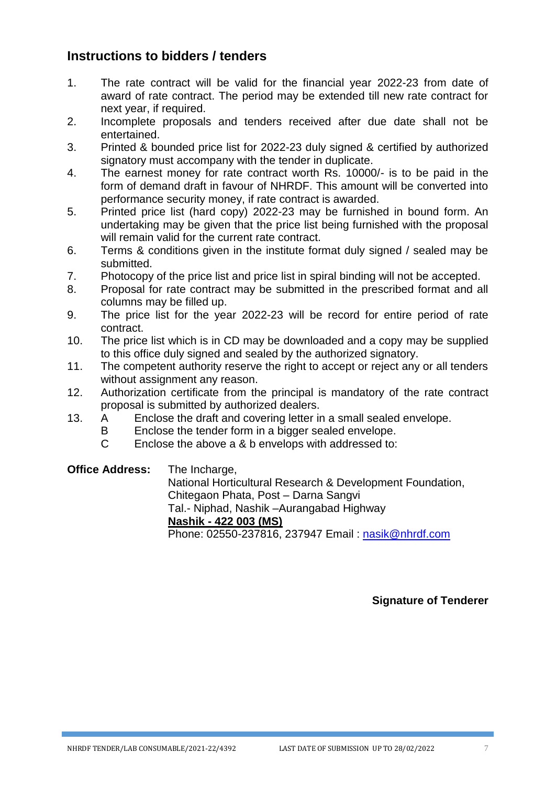## **Instructions to bidders / tenders**

- 1. The rate contract will be valid for the financial year 2022-23 from date of award of rate contract. The period may be extended till new rate contract for next year, if required.
- 2. Incomplete proposals and tenders received after due date shall not be entertained.
- 3. Printed & bounded price list for 2022-23 duly signed & certified by authorized signatory must accompany with the tender in duplicate.
- 4. The earnest money for rate contract worth Rs. 10000/- is to be paid in the form of demand draft in favour of NHRDF. This amount will be converted into performance security money, if rate contract is awarded.
- 5. Printed price list (hard copy) 2022-23 may be furnished in bound form. An undertaking may be given that the price list being furnished with the proposal will remain valid for the current rate contract.
- 6. Terms & conditions given in the institute format duly signed / sealed may be submitted.
- 7. Photocopy of the price list and price list in spiral binding will not be accepted.
- 8. Proposal for rate contract may be submitted in the prescribed format and all columns may be filled up.
- 9. The price list for the year 2022-23 will be record for entire period of rate contract.
- 10. The price list which is in CD may be downloaded and a copy may be supplied to this office duly signed and sealed by the authorized signatory.
- 11. The competent authority reserve the right to accept or reject any or all tenders without assignment any reason.
- 12. Authorization certificate from the principal is mandatory of the rate contract proposal is submitted by authorized dealers.
- 13. A Enclose the draft and covering letter in a small sealed envelope.
	- B Enclose the tender form in a bigger sealed envelope.
	- C Enclose the above a & b envelops with addressed to:

**Office Address:** The Incharge,

National Horticultural Research & Development Foundation, Chitegaon Phata, Post – Darna Sangvi Tal.- Niphad, Nashik –Aurangabad Highway **Nashik - 422 003 (MS)** Phone: 02550-237816, 237947 Email : [nasik@nhrdf.com](mailto:nasik@nhrdf.com)

**Signature of Tenderer**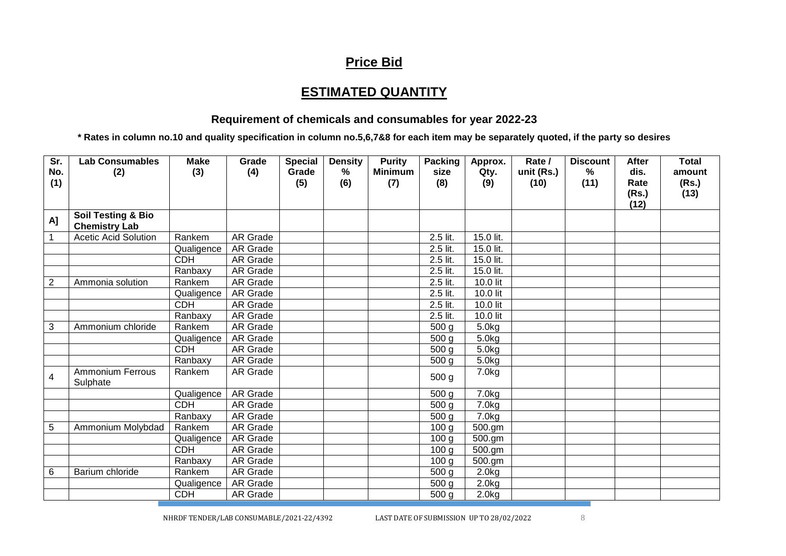## **Price Bid**

## **ESTIMATED QUANTITY**

#### **Requirement of chemicals and consumables for year 2022-23**

**\* Rates in column no.10 and quality specification in column no.5,6,7&8 for each item may be separately quoted, if the party so desires**

| Sr.<br>No.<br>(1) | <b>Lab Consumables</b><br>(2)                         | <b>Make</b><br>(3) | Grade<br>(4)    | <b>Special</b><br>Grade<br>(5) | <b>Density</b><br>%<br>(6) | <b>Purity</b><br><b>Minimum</b><br>(7) | <b>Packing</b><br>size<br>(8) | Approx.<br>Qty.<br>(9) | Rate /<br>unit (Rs.)<br>(10) | <b>Discount</b><br>%<br>(11) | After<br>dis.<br>Rate<br>(Rs.)<br>(12) | <b>Total</b><br>amount<br>(Rs.)<br>(13) |
|-------------------|-------------------------------------------------------|--------------------|-----------------|--------------------------------|----------------------------|----------------------------------------|-------------------------------|------------------------|------------------------------|------------------------------|----------------------------------------|-----------------------------------------|
| A]                | <b>Soil Testing &amp; Bio</b><br><b>Chemistry Lab</b> |                    |                 |                                |                            |                                        |                               |                        |                              |                              |                                        |                                         |
| $\mathbf{1}$      | <b>Acetic Acid Solution</b>                           | Rankem             | <b>AR Grade</b> |                                |                            |                                        | 2.5 lit.                      | 15.0 lit.              |                              |                              |                                        |                                         |
|                   |                                                       | Qualigence         | AR Grade        |                                |                            |                                        | 2.5 lit.                      | 15.0 lit.              |                              |                              |                                        |                                         |
|                   |                                                       | <b>CDH</b>         | <b>AR Grade</b> |                                |                            |                                        | 2.5 lit.                      | 15.0 lit.              |                              |                              |                                        |                                         |
|                   |                                                       | Ranbaxy            | AR Grade        |                                |                            |                                        | 2.5 lit.                      | 15.0 lit.              |                              |                              |                                        |                                         |
| $\overline{2}$    | Ammonia solution                                      | Rankem             | <b>AR Grade</b> |                                |                            |                                        | 2.5 lit.                      | 10.0 lit               |                              |                              |                                        |                                         |
|                   |                                                       | Qualigence         | <b>AR Grade</b> |                                |                            |                                        | 2.5 lit.                      | 10.0 lit               |                              |                              |                                        |                                         |
|                   |                                                       | <b>CDH</b>         | AR Grade        |                                |                            |                                        | 2.5 lit.                      | 10.0 lit               |                              |                              |                                        |                                         |
|                   |                                                       | Ranbaxy            | <b>AR Grade</b> |                                |                            |                                        | 2.5 lit.                      | 10.0 lit               |                              |                              |                                        |                                         |
| 3                 | Ammonium chloride                                     | Rankem             | <b>AR Grade</b> |                                |                            |                                        | $\overline{500}$ g            | 5.0kg                  |                              |                              |                                        |                                         |
|                   |                                                       | Qualigence         | <b>AR Grade</b> |                                |                            |                                        | 500 g                         | 5.0kg                  |                              |                              |                                        |                                         |
|                   |                                                       | CDH                | <b>AR Grade</b> |                                |                            |                                        | 500 <sub>g</sub>              | 5.0kg                  |                              |                              |                                        |                                         |
|                   |                                                       | Ranbaxy            | AR Grade        |                                |                            |                                        | 500 <sub>g</sub>              | 5.0kg                  |                              |                              |                                        |                                         |
| $\overline{4}$    | <b>Ammonium Ferrous</b><br>Sulphate                   | Rankem             | AR Grade        |                                |                            |                                        | 500 <sub>g</sub>              | 7.0kg                  |                              |                              |                                        |                                         |
|                   |                                                       | Qualigence         | AR Grade        |                                |                            |                                        | 500 g                         | 7.0kg                  |                              |                              |                                        |                                         |
|                   |                                                       | <b>CDH</b>         | <b>AR Grade</b> |                                |                            |                                        | 500 <sub>g</sub>              | 7.0kg                  |                              |                              |                                        |                                         |
|                   |                                                       | Ranbaxy            | AR Grade        |                                |                            |                                        | $\overline{500}$ g            | 7.0kg                  |                              |                              |                                        |                                         |
| 5                 | Ammonium Molybdad                                     | Rankem             | AR Grade        |                                |                            |                                        | 100 <sub>g</sub>              | 500.gm                 |                              |                              |                                        |                                         |
|                   |                                                       | Qualigence         | AR Grade        |                                |                            |                                        | 100 <sub>g</sub>              | 500.gm                 |                              |                              |                                        |                                         |
|                   |                                                       | <b>CDH</b>         | <b>AR Grade</b> |                                |                            |                                        | 100 <sub>q</sub>              | 500.gm                 |                              |                              |                                        |                                         |
|                   |                                                       | Ranbaxy            | <b>AR Grade</b> |                                |                            |                                        | 100 <sub>q</sub>              | 500.gm                 |                              |                              |                                        |                                         |
| 6                 | Barium chloride                                       | Rankem             | AR Grade        |                                |                            |                                        | 500 g                         | 2.0kg                  |                              |                              |                                        |                                         |
|                   |                                                       | Qualigence         | AR Grade        |                                |                            |                                        | 500 <sub>g</sub>              | 2.0kg                  |                              |                              |                                        |                                         |
|                   |                                                       | <b>CDH</b>         | AR Grade        |                                |                            |                                        | 500 g                         | 2.0 <sub>kg</sub>      |                              |                              |                                        |                                         |

NHRDF TENDER/LAB CONSUMABLE/2021-22/4392 LAST DATE OF SUBMISSION UP TO 28/02/2022 8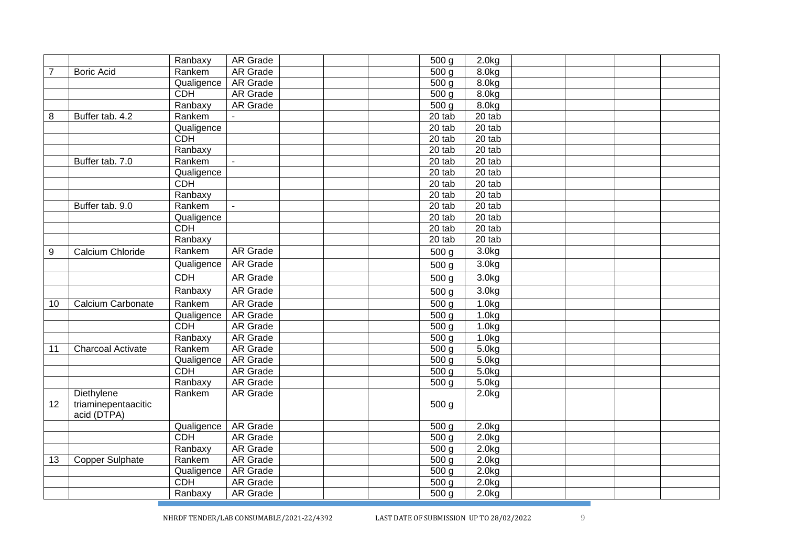|                |                                    | Ranbaxy    | AR Grade        | 500 <sub>q</sub>    | 2.0kg              |  |  |
|----------------|------------------------------------|------------|-----------------|---------------------|--------------------|--|--|
| $\overline{7}$ | <b>Boric Acid</b>                  | Rankem     | <b>AR Grade</b> | 500 <sub>q</sub>    | 8.0 <sub>k</sub> g |  |  |
|                |                                    | Qualigence | <b>AR Grade</b> | 500 <sub>g</sub>    | 8.0 <sub>kg</sub>  |  |  |
|                |                                    | <b>CDH</b> | <b>AR Grade</b> | $\overline{500}$ g  | 8.0 <sub>kg</sub>  |  |  |
|                |                                    | Ranbaxy    | <b>AR Grade</b> | 500 g               | 8.0 <sub>kg</sub>  |  |  |
| 8              | Buffer tab. 4.2                    | Rankem     |                 | $20$ tab            | $20$ tab           |  |  |
|                |                                    | Qualigence |                 | 20 tab              | 20 tab             |  |  |
|                |                                    | CDH        |                 | 20 tab              | 20 tab             |  |  |
|                |                                    | Ranbaxy    |                 | $\overline{20}$ tab | 20 tab             |  |  |
|                | Buffer tab. 7.0                    | Rankem     |                 | 20 tab              | $20$ tab           |  |  |
|                |                                    | Qualigence |                 | 20 tab              | $20$ tab           |  |  |
|                |                                    | <b>CDH</b> |                 | 20 tab              | $20$ tab           |  |  |
|                |                                    | Ranbaxy    |                 | 20 tab              | 20 tab             |  |  |
|                | Buffer tab. 9.0                    | Rankem     | $\blacksquare$  | 20 tab              | $20$ tab           |  |  |
|                |                                    | Qualigence |                 | 20 tab              | 20 tab             |  |  |
|                |                                    | CDH        |                 | 20 tab              | 20 tab             |  |  |
|                |                                    | Ranbaxy    |                 | 20 tab              | 20 tab             |  |  |
| 9              | Calcium Chloride                   | Rankem     | <b>AR Grade</b> | 500 <sub>g</sub>    | 3.0 <sub>kg</sub>  |  |  |
|                |                                    | Qualigence | <b>AR Grade</b> | 500 g               | 3.0 <sub>kg</sub>  |  |  |
|                |                                    | <b>CDH</b> | <b>AR Grade</b> | 500 <sub>g</sub>    | 3.0 <sub>kg</sub>  |  |  |
|                |                                    | Ranbaxy    | <b>AR Grade</b> | 500 <sub>g</sub>    | 3.0 <sub>kg</sub>  |  |  |
| 10             | Calcium Carbonate                  | Rankem     | <b>AR Grade</b> | 500 <sub>q</sub>    | 1.0 <sub>kg</sub>  |  |  |
|                |                                    | Qualigence | <b>AR Grade</b> | 500 <sub>q</sub>    | 1.0 <sub>kg</sub>  |  |  |
|                |                                    | <b>CDH</b> | <b>AR Grade</b> | 500 g               | 1.0 <sub>kg</sub>  |  |  |
|                |                                    | Ranbaxy    | <b>AR Grade</b> | 500 g               | 1.0kg              |  |  |
| 11             | <b>Charcoal Activate</b>           | Rankem     | <b>AR Grade</b> | 500 <sub>g</sub>    | 5.0kg              |  |  |
|                |                                    | Qualigence | <b>AR Grade</b> | $\overline{500}$ g  | 5.0kg              |  |  |
|                |                                    | CDH        | <b>AR Grade</b> | 500 g               | 5.0kg              |  |  |
|                |                                    | Ranbaxy    | <b>AR Grade</b> | 500 g               | 5.0kg              |  |  |
|                | Diethylene                         | Rankem     | <b>AR Grade</b> |                     | 2.0kg              |  |  |
| 12             | triaminepentaacitic<br>acid (DTPA) |            |                 | 500 <sub>g</sub>    |                    |  |  |
|                |                                    | Qualigence | AR Grade        | 500 <sub>g</sub>    | 2.0kg              |  |  |
|                |                                    | <b>CDH</b> | AR Grade        | 500 <sub>g</sub>    | 2.0kg              |  |  |
|                |                                    | Ranbaxy    | <b>AR</b> Grade | 500 <sub>g</sub>    | 2.0kg              |  |  |
| 13             | <b>Copper Sulphate</b>             | Rankem     | <b>AR Grade</b> | 500 <sub>g</sub>    | 2.0kg              |  |  |
|                |                                    | Qualigence | <b>AR Grade</b> | $\overline{500}$ g  | 2.0 <sub>k</sub> g |  |  |
|                |                                    |            |                 |                     |                    |  |  |
|                |                                    | <b>CDH</b> | <b>AR Grade</b> | 500 <sub>g</sub>    | 2.0kg              |  |  |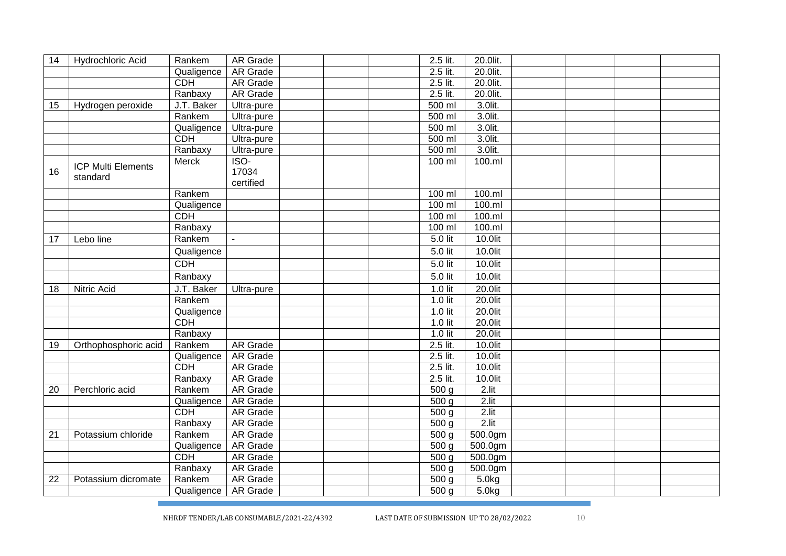| 14 | Hydrochloric Acid                     | Rankem     | AR Grade        |  | 2.5 lit.         | 20.0lit. |  |  |
|----|---------------------------------------|------------|-----------------|--|------------------|----------|--|--|
|    |                                       | Qualigence | <b>AR Grade</b> |  | 2.5 lit.         | 20.0lit. |  |  |
|    |                                       | <b>CDH</b> | <b>AR Grade</b> |  | 2.5 lit.         | 20.0lit. |  |  |
|    |                                       | Ranbaxy    | <b>AR Grade</b> |  | 2.5 lit.         | 20.0lit. |  |  |
| 15 | Hydrogen peroxide                     | J.T. Baker | Ultra-pure      |  | $500$ ml         | 3.0lit.  |  |  |
|    |                                       | Rankem     | Ultra-pure      |  | $500$ ml         | 3.0lit.  |  |  |
|    |                                       | Qualigence | Ultra-pure      |  | 500 ml           | 3.0lit.  |  |  |
|    |                                       | <b>CDH</b> | Ultra-pure      |  | $500$ ml         | 3.0lit.  |  |  |
|    |                                       | Ranbaxy    | Ultra-pure      |  | 500 ml           | 3.0lit.  |  |  |
|    |                                       | Merck      | $ISO-$          |  | 100 ml           | 100.ml   |  |  |
| 16 | <b>ICP Multi Elements</b><br>standard |            | 17034           |  |                  |          |  |  |
|    |                                       |            | certified       |  |                  |          |  |  |
|    |                                       | Rankem     |                 |  | $100$ ml         | 100.m    |  |  |
|    |                                       | Qualigence |                 |  | $100$ ml         | 100.m    |  |  |
|    |                                       | <b>CDH</b> |                 |  | $100$ ml         | 100.m    |  |  |
|    |                                       | Ranbaxy    |                 |  | $100$ ml         | 100.m    |  |  |
| 17 | Lebo line                             | Rankem     | $\blacksquare$  |  | 5.0 lit          | 10.0lit  |  |  |
|    |                                       | Qualigence |                 |  | 5.0 lit          | 10.0lit  |  |  |
|    |                                       | <b>CDH</b> |                 |  | 5.0 lit          | 10.0lit  |  |  |
|    |                                       | Ranbaxy    |                 |  | 5.0 lit          | 10.0lit  |  |  |
| 18 | <b>Nitric Acid</b>                    | J.T. Baker | Ultra-pure      |  | $1.0$ lit        | 20.0lit  |  |  |
|    |                                       | Rankem     |                 |  | 1.0 lit          | 20.0lit  |  |  |
|    |                                       | Qualigence |                 |  | $1.0$ lit        | 20.0lit  |  |  |
|    |                                       | <b>CDH</b> |                 |  | $1.0$ lit        | 20.0lit  |  |  |
|    |                                       | Ranbaxy    |                 |  | 1.0 lit          | 20.0lit  |  |  |
| 19 | Orthophosphoric acid                  | Rankem     | <b>AR Grade</b> |  | 2.5 lit.         | 10.0lit  |  |  |
|    |                                       | Qualigence | <b>AR Grade</b> |  | 2.5 lit.         | 10.0lit  |  |  |
|    |                                       | <b>CDH</b> | <b>AR Grade</b> |  | 2.5 lit.         | 10.0lit  |  |  |
|    |                                       | Ranbaxy    | <b>AR Grade</b> |  | 2.5 lit.         | 10.0lit  |  |  |
| 20 | Perchloric acid                       | Rankem     | <b>AR</b> Grade |  | 500 <sub>g</sub> | 2.lit    |  |  |
|    |                                       | Qualigence | <b>AR Grade</b> |  | 500 <sub>q</sub> | $2.$ lit |  |  |
|    |                                       | <b>CDH</b> | AR Grade        |  | 500 <sub>g</sub> | 2.lit    |  |  |
|    |                                       | Ranbaxy    | <b>AR</b> Grade |  | 500 <sub>g</sub> | $2.$ lit |  |  |
| 21 | Potassium chloride                    | Rankem     | AR Grade        |  | 500 <sub>g</sub> | 500.0gm  |  |  |
|    |                                       | Qualigence | AR Grade        |  | 500 <sub>g</sub> | 500.0gm  |  |  |
|    |                                       | <b>CDH</b> | <b>AR Grade</b> |  | 500 <sub>g</sub> | 500.0gm  |  |  |
|    |                                       | Ranbaxy    | <b>AR Grade</b> |  | 500 <sub>q</sub> | 500.0gm  |  |  |
| 22 | Potassium dicromate                   | Rankem     | AR Grade        |  | 500 <sub>q</sub> | 5.0kg    |  |  |
|    |                                       | Qualigence | AR Grade        |  | 500 <sub>g</sub> | 5.0kg    |  |  |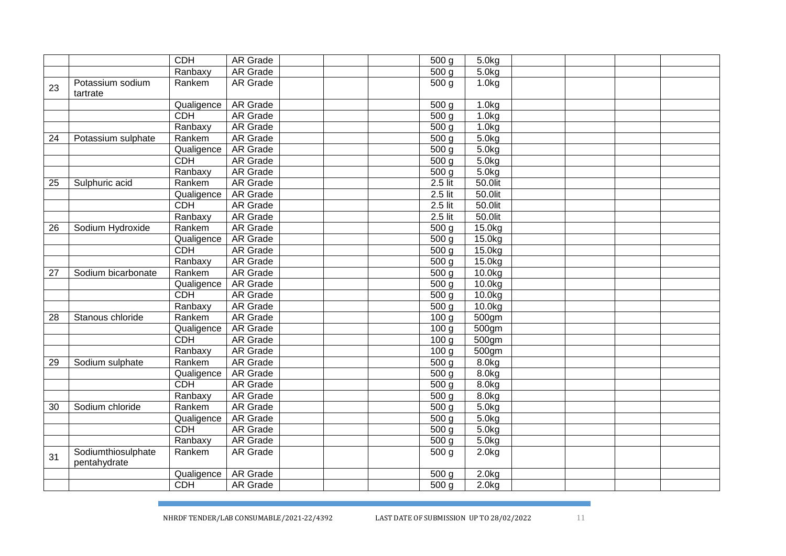|    |                    | <b>CDH</b> | AR Grade        |  | 500 <sub>g</sub>   | 5.0kg              |  |  |
|----|--------------------|------------|-----------------|--|--------------------|--------------------|--|--|
|    |                    | Ranbaxy    | <b>AR Grade</b> |  | $\overline{500}$ g | 5.0 <sub>kg</sub>  |  |  |
| 23 | Potassium sodium   | Rankem     | <b>AR Grade</b> |  | $\overline{500}$ g | 1.0 <sub>k</sub> g |  |  |
|    | tartrate           |            |                 |  |                    |                    |  |  |
|    |                    | Qualigence | <b>AR Grade</b> |  | 500 <sub>g</sub>   | 1.0 <sub>k</sub> g |  |  |
|    |                    | <b>CDH</b> | AR Grade        |  | 500 <sub>g</sub>   | 1.0kg              |  |  |
|    |                    | Ranbaxy    | <b>AR Grade</b> |  | 500 <sub>g</sub>   | 1.0 <sub>kg</sub>  |  |  |
| 24 | Potassium sulphate | Rankem     | AR Grade        |  | 500 <sub>g</sub>   | 5.0kg              |  |  |
|    |                    | Qualigence | <b>AR Grade</b> |  | 500 <sub>g</sub>   | 5.0kg              |  |  |
|    |                    | <b>CDH</b> | <b>AR Grade</b> |  | 500 <sub>g</sub>   | 5.0kg              |  |  |
|    |                    | Ranbaxy    | <b>AR Grade</b> |  | 500 <sub>g</sub>   | 5.0kg              |  |  |
| 25 | Sulphuric acid     | Rankem     | AR Grade        |  | 2.5 lit            | 50.0lit            |  |  |
|    |                    | Qualigence | <b>AR</b> Grade |  | 2.5 lit            | 50.0lit            |  |  |
|    |                    | <b>CDH</b> | <b>AR Grade</b> |  | $2.5$ lit          | 50.0lit            |  |  |
|    |                    | Ranbaxy    | <b>AR Grade</b> |  | $2.5$ lit          | 50.0lit            |  |  |
| 26 | Sodium Hydroxide   | Rankem     | <b>AR Grade</b> |  | 500 <sub>q</sub>   | 15.0kg             |  |  |
|    |                    | Qualigence | <b>AR Grade</b> |  | 500 <sub>g</sub>   | 15.0kg             |  |  |
|    |                    | <b>CDH</b> | AR Grade        |  | 500 <sub>g</sub>   | 15.0kg             |  |  |
|    |                    | Ranbaxy    | <b>AR Grade</b> |  | 500 <sub>q</sub>   | 15.0kg             |  |  |
| 27 | Sodium bicarbonate | Rankem     | <b>AR Grade</b> |  | 500 <sub>g</sub>   | 10.0kg             |  |  |
|    |                    | Qualigence | AR Grade        |  | 500 <sub>g</sub>   | 10.0kg             |  |  |
|    |                    | <b>CDH</b> | <b>AR Grade</b> |  | 500 <sub>g</sub>   | 10.0kg             |  |  |
|    |                    | Ranbaxy    | AR Grade        |  | 500 <sub>g</sub>   | 10.0kg             |  |  |
| 28 | Stanous chloride   | Rankem     | AR Grade        |  | 100 <sub>g</sub>   | 500gm              |  |  |
|    |                    | Qualigence | <b>AR Grade</b> |  | 100 g              | 500gm              |  |  |
|    |                    | CDH        | AR Grade        |  | 100 <sub>g</sub>   | 500gm              |  |  |
|    |                    | Ranbaxy    | <b>AR Grade</b> |  | 100 <sub>q</sub>   | 500gm              |  |  |
| 29 | Sodium sulphate    | Rankem     | <b>AR Grade</b> |  | 500 <sub>g</sub>   | 8.0kg              |  |  |
|    |                    | Qualigence | <b>AR Grade</b> |  | $\overline{500}$ g | 8.0kg              |  |  |
|    |                    | <b>CDH</b> | <b>AR</b> Grade |  | 500 <sub>g</sub>   | 8.0kg              |  |  |
|    |                    | Ranbaxy    | <b>AR Grade</b> |  | 500 <sub>g</sub>   | 8.0 <sub>kg</sub>  |  |  |
| 30 | Sodium chloride    | Rankem     | <b>AR Grade</b> |  | 500 <sub>g</sub>   | 5.0kg              |  |  |
|    |                    | Qualigence | <b>AR Grade</b> |  | 500 <sub>g</sub>   | 5.0 <sub>k</sub> g |  |  |
|    |                    | <b>CDH</b> | <b>AR Grade</b> |  | $\overline{500}$ g | $\overline{5.0kg}$ |  |  |
|    |                    | Ranbaxy    | <b>AR Grade</b> |  | 500 g              | 5.0kg              |  |  |
| 31 | Sodiumthiosulphate | Rankem     | AR Grade        |  | 500 g              | 2.0kg              |  |  |
|    | pentahydrate       |            |                 |  |                    |                    |  |  |
|    |                    | Qualigence | AR Grade        |  | 500 <sub>g</sub>   | 2.0kg              |  |  |
|    |                    | <b>CDH</b> | AR Grade        |  | 500 <sub>g</sub>   | 2.0kg              |  |  |
|    |                    |            |                 |  |                    |                    |  |  |

NHRDF TENDER/LAB CONSUMABLE/2021

LAST DATE OF SUBMISSION UP TO 28/02/2022 11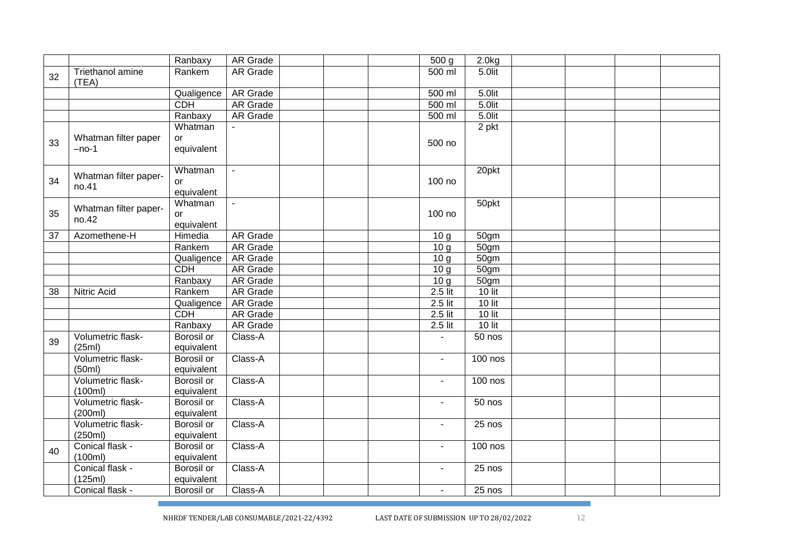|    |                       | Ranbaxy           | <b>AR Grade</b> |  | $\overline{500}$ g | 2.0kg              |  |  |
|----|-----------------------|-------------------|-----------------|--|--------------------|--------------------|--|--|
| 32 | Triethanol amine      | Rankem            | AR Grade        |  | 500 ml             | 5.0lit             |  |  |
|    | (TEA)                 |                   |                 |  |                    |                    |  |  |
|    |                       | Qualigence        | <b>AR Grade</b> |  | 500 ml             | 5.0lit             |  |  |
|    |                       | <b>CDH</b>        | <b>AR Grade</b> |  | 500 ml             | 5.0lit             |  |  |
|    |                       | Ranbaxy           | AR Grade        |  | 500 ml             | $5.0$ lit          |  |  |
|    |                       | Whatman           |                 |  |                    | 2 pkt              |  |  |
| 33 | Whatman filter paper  | or                |                 |  | 500 no             |                    |  |  |
|    | $-no-1$               | equivalent        |                 |  |                    |                    |  |  |
|    |                       |                   |                 |  |                    |                    |  |  |
|    | Whatman filter paper- | Whatman           | $\mathbf{r}$    |  |                    | 20pkt              |  |  |
| 34 | no.41                 | or                |                 |  | 100 no             |                    |  |  |
|    |                       | equivalent        |                 |  |                    |                    |  |  |
|    | Whatman filter paper- | Whatman           | $\mathbf{r}$    |  |                    | 50pkt              |  |  |
| 35 | no.42                 | or                |                 |  | 100 no             |                    |  |  |
|    |                       | equivalent        |                 |  |                    |                    |  |  |
| 37 | Azomethene-H          | Himedia           | <b>AR Grade</b> |  | 10 <sub>g</sub>    | 50gm               |  |  |
|    |                       | Rankem            | <b>AR Grade</b> |  | $\overline{10}$ g  | $\overline{50}$ gm |  |  |
|    |                       | Qualigence        | <b>AR Grade</b> |  | 10 g               | 50gm               |  |  |
|    |                       | CDH               | <b>AR Grade</b> |  | 10 g               | 50gm               |  |  |
|    |                       | Ranbaxy           | <b>AR Grade</b> |  | 10 <sub>g</sub>    | 50 <sub>gm</sub>   |  |  |
| 38 | <b>Nitric Acid</b>    | Rankem            | <b>AR Grade</b> |  | $2.5$ lit          | $10$ lit           |  |  |
|    |                       | Qualigence        | AR Grade        |  | $2.5$ lit          | $10$ lit           |  |  |
|    |                       | CDH               | <b>AR Grade</b> |  | $2.5$ lit          | $10$ lit           |  |  |
|    |                       | Ranbaxy           | <b>AR Grade</b> |  | $2.5$ lit          | $10$ lit           |  |  |
| 39 | Volumetric flask-     | <b>Borosil or</b> | Class-A         |  | $\overline{a}$     | 50 nos             |  |  |
|    | (25ml)                | equivalent        |                 |  |                    |                    |  |  |
|    | Volumetric flask-     | <b>Borosil</b> or | Class-A         |  | $\blacksquare$     | $100$ nos          |  |  |
|    | (50ml)                | equivalent        |                 |  |                    |                    |  |  |
|    | Volumetric flask-     | <b>Borosil or</b> | Class-A         |  | $\blacksquare$     | <b>100 nos</b>     |  |  |
|    | (100ml)               | equivalent        |                 |  |                    |                    |  |  |
|    | Volumetric flask-     | <b>Borosil</b> or | Class-A         |  | $\overline{a}$     | 50 nos             |  |  |
|    | (200ml)               | equivalent        |                 |  |                    |                    |  |  |
|    | Volumetric flask-     | <b>Borosil or</b> | Class-A         |  | $\sim$             | $25$ nos           |  |  |
|    | (250ml)               | equivalent        |                 |  |                    |                    |  |  |
| 40 | Conical flask -       | <b>Borosil or</b> | Class-A         |  | $\blacksquare$     | <b>100 nos</b>     |  |  |
|    | (100ml)               | equivalent        |                 |  |                    |                    |  |  |
|    | Conical flask -       | <b>Borosil</b> or | Class-A         |  | $\blacksquare$     | 25 nos             |  |  |
|    | (125ml)               | equivalent        |                 |  |                    |                    |  |  |
|    | Conical flask -       | Borosil or        | Class-A         |  | $\sim$             | 25 nos             |  |  |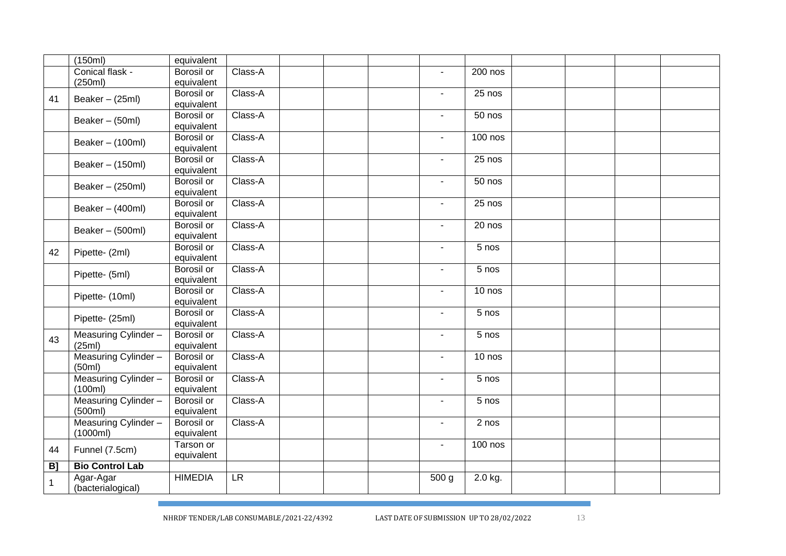|    | (150ml)                | equivalent        |         |  |                |           |  |  |
|----|------------------------|-------------------|---------|--|----------------|-----------|--|--|
|    | Conical flask -        | Borosil or        | Class-A |  | $\blacksquare$ | 200 nos   |  |  |
|    | (250ml)                | equivalent        |         |  |                |           |  |  |
|    |                        | Borosil or        | Class-A |  | $\blacksquare$ | 25 nos    |  |  |
| 41 | Beaker - (25ml)        | equivalent        |         |  |                |           |  |  |
|    |                        | Borosil or        | Class-A |  | $\blacksquare$ | $50$ nos  |  |  |
|    | Beaker - (50ml)        | equivalent        |         |  |                |           |  |  |
|    |                        | Borosil or        | Class-A |  | $\blacksquare$ | $100$ nos |  |  |
|    | Beaker - (100ml)       | equivalent        |         |  |                |           |  |  |
|    |                        | <b>Borosil or</b> | Class-A |  | $\blacksquare$ | 25 nos    |  |  |
|    | Beaker - (150ml)       | equivalent        |         |  |                |           |  |  |
|    |                        | Borosil or        | Class-A |  | $\blacksquare$ | 50 nos    |  |  |
|    | Beaker - (250ml)       | equivalent        |         |  |                |           |  |  |
|    |                        | <b>Borosil or</b> | Class-A |  | $\blacksquare$ | $25$ nos  |  |  |
|    | Beaker - (400ml)       | equivalent        |         |  |                |           |  |  |
|    |                        | Borosil or        | Class-A |  | ÷.             | 20 nos    |  |  |
|    | Beaker - (500ml)       | equivalent        |         |  |                |           |  |  |
|    |                        | Borosil or        | Class-A |  | $\blacksquare$ | 5 nos     |  |  |
| 42 | Pipette- (2ml)         | equivalent        |         |  |                |           |  |  |
|    |                        | Borosil or        | Class-A |  | $\sim$         | $5$ nos   |  |  |
|    | Pipette- (5ml)         | equivalent        |         |  |                |           |  |  |
|    |                        | <b>Borosil or</b> | Class-A |  | $\blacksquare$ | 10 nos    |  |  |
|    | Pipette- (10ml)        | equivalent        |         |  |                |           |  |  |
|    |                        | Borosil or        | Class-A |  | $\sim$         | 5 nos     |  |  |
|    | Pipette- (25ml)        | equivalent        |         |  |                |           |  |  |
|    | Measuring Cylinder -   | Borosil or        | Class-A |  | $\blacksquare$ | 5 nos     |  |  |
| 43 | (25ml)                 | equivalent        |         |  |                |           |  |  |
|    | Measuring Cylinder -   | Borosil or        | Class-A |  | $\blacksquare$ | 10 nos    |  |  |
|    | (50ml)                 | equivalent        |         |  |                |           |  |  |
|    | Measuring Cylinder -   | Borosil or        | Class-A |  | $\blacksquare$ | 5 nos     |  |  |
|    | (100ml)                | equivalent        |         |  |                |           |  |  |
|    | Measuring Cylinder -   | Borosil or        | Class-A |  | $\blacksquare$ | 5 nos     |  |  |
|    | (500ml)                | equivalent        |         |  |                |           |  |  |
|    | Measuring Cylinder -   | Borosil or        | Class-A |  | $\blacksquare$ | $2$ nos   |  |  |
|    | (1000ml)               | equivalent        |         |  |                |           |  |  |
| 44 | Funnel (7.5cm)         | Tarson or         |         |  | $\blacksquare$ | $100$ nos |  |  |
|    |                        | equivalent        |         |  |                |           |  |  |
| B] | <b>Bio Control Lab</b> |                   |         |  |                |           |  |  |
| 1  | Agar-Agar              | <b>HIMEDIA</b>    | LR      |  | 500 g          | 2.0 kg.   |  |  |
|    | (bacterialogical)      |                   |         |  |                |           |  |  |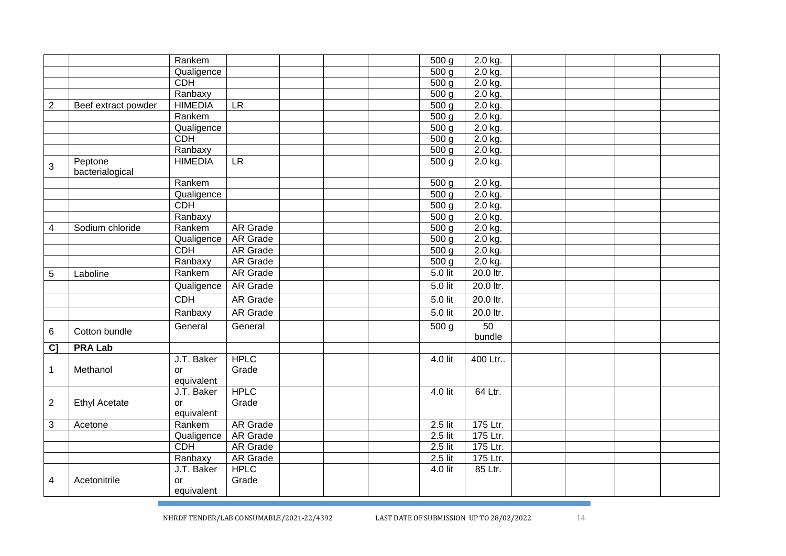|                |                            | Rankem                         |                      |  | 500 <sub>g</sub>   | $2.0$ kg.    |  |  |
|----------------|----------------------------|--------------------------------|----------------------|--|--------------------|--------------|--|--|
|                |                            | Qualigence                     |                      |  | 500 <sub>g</sub>   | $2.0$ kg.    |  |  |
|                |                            | CDH                            |                      |  | 500 <sub>q</sub>   | $2.0$ kg.    |  |  |
|                |                            | Ranbaxy                        |                      |  | 500 g              | $2.0$ kg.    |  |  |
| $\overline{2}$ | Beef extract powder        | <b>HIMEDIA</b>                 | LR                   |  | 500 g              | $2.0$ kg.    |  |  |
|                |                            | Rankem                         |                      |  | 500 <sub>q</sub>   | $2.0$ kg.    |  |  |
|                |                            | Qualigence                     |                      |  | 500 <sub>q</sub>   | $2.0$ kg.    |  |  |
|                |                            | <b>CDH</b>                     |                      |  | 500 <sub>g</sub>   | $2.0$ kg.    |  |  |
|                |                            | Ranbaxy                        |                      |  | 500 g              | $2.0$ kg.    |  |  |
| 3              | Peptone<br>bacterialogical | <b>HIMEDIA</b>                 | LR                   |  | 500 g              | 2.0 kg.      |  |  |
|                |                            | Rankem                         |                      |  | 500 <sub>g</sub>   | 2.0 kg.      |  |  |
|                |                            | Qualigence                     |                      |  | $\overline{500}$ g | $2.0$ kg.    |  |  |
|                |                            | <b>CDH</b>                     |                      |  | 500 <sub>g</sub>   | 2.0 kg.      |  |  |
|                |                            | Ranbaxy                        |                      |  | 500 <sub>q</sub>   | $2.0$ kg.    |  |  |
| $\overline{4}$ | Sodium chloride            | Rankem                         | AR Grade             |  | 500 <sub>q</sub>   | 2.0 kg.      |  |  |
|                |                            | Qualigence                     | <b>AR Grade</b>      |  | 500 <sub>q</sub>   | 2.0 kg.      |  |  |
|                |                            | CDH                            | AR Grade             |  | 500 <sub>g</sub>   | 2.0 kg.      |  |  |
|                |                            | Ranbaxy                        | <b>AR Grade</b>      |  | 500 <sub>g</sub>   | 2.0 kg.      |  |  |
| 5              | Laboline                   | Rankem                         | <b>AR Grade</b>      |  | 5.0 lit            | 20.0 ltr.    |  |  |
|                |                            | Qualigence                     | <b>AR Grade</b>      |  | $5.0$ lit          | 20.0 ltr.    |  |  |
|                |                            | CDH                            | <b>AR Grade</b>      |  | $5.0$ lit          | 20.0 ltr.    |  |  |
|                |                            | Ranbaxy                        | <b>AR Grade</b>      |  | $5.0$ lit          | 20.0 ltr.    |  |  |
| 6              | Cotton bundle              | General                        | General              |  | 500 <sub>g</sub>   | 50<br>bundle |  |  |
| $\overline{c}$ | <b>PRA Lab</b>             |                                |                      |  |                    |              |  |  |
| 1              | Methanol                   | J.T. Baker<br>or<br>equivalent | <b>HPLC</b><br>Grade |  | $4.0$ lit          | 400 Ltr      |  |  |
| $\overline{c}$ | <b>Ethyl Acetate</b>       | J.T. Baker<br>or<br>equivalent | <b>HPLC</b><br>Grade |  | 4.0 lit            | 64 Ltr.      |  |  |
| 3              | Acetone                    | Rankem                         | <b>AR Grade</b>      |  | $2.5$ lit          | 175 Ltr.     |  |  |
|                |                            | Qualigence                     | <b>AR Grade</b>      |  | $2.5$ lit          | 175 Ltr.     |  |  |
|                |                            | <b>CDH</b>                     | <b>AR Grade</b>      |  | $2.5$ lit          | 175 Ltr.     |  |  |
|                |                            | Ranbaxy                        | <b>AR Grade</b>      |  | $2.5$ lit          | 175 Ltr.     |  |  |
|                |                            | J.T. Baker                     | <b>HPLC</b>          |  | $4.0$ lit          | 85 Ltr.      |  |  |
| 4              | Acetonitrile               | or<br>equivalent               | Grade                |  |                    |              |  |  |
|                |                            |                                |                      |  |                    |              |  |  |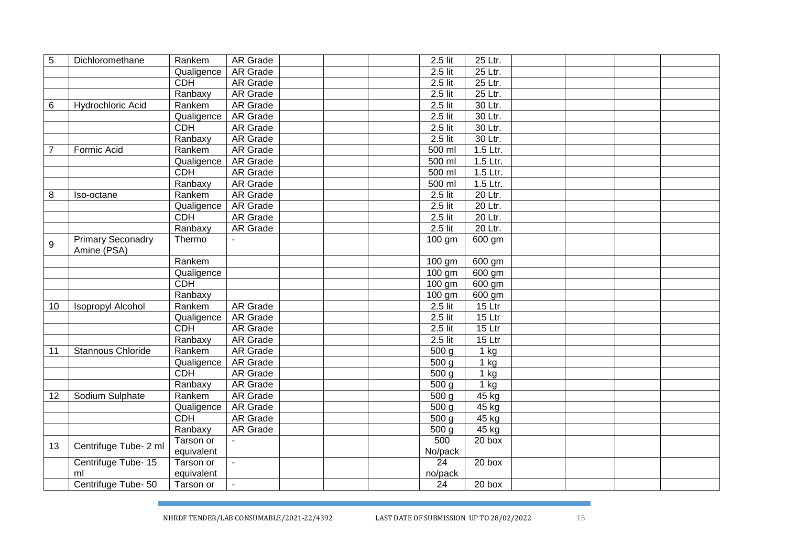| 5  | Dichloromethane                         | Rankem     | AR Grade        |  | 2.5 lit            | 25 Ltr.           |  |  |
|----|-----------------------------------------|------------|-----------------|--|--------------------|-------------------|--|--|
|    |                                         | Qualigence | <b>AR Grade</b> |  | $2.5$ lit          | 25 Ltr.           |  |  |
|    |                                         | <b>CDH</b> | <b>AR Grade</b> |  | $2.5$ lit          | 25 Ltr.           |  |  |
|    |                                         | Ranbaxy    | <b>AR Grade</b> |  | $2.5$ lit          | 25 Ltr.           |  |  |
| 6  | <b>Hydrochloric Acid</b>                | Rankem     | <b>AR Grade</b> |  | $2.5$ lit          | 30 Ltr.           |  |  |
|    |                                         | Qualigence | <b>AR Grade</b> |  | $2.5$ lit          | 30 Ltr.           |  |  |
|    |                                         | <b>CDH</b> | <b>AR Grade</b> |  | $2.5$ lit          | 30 Ltr.           |  |  |
|    |                                         | Ranbaxy    | <b>AR</b> Grade |  | $2.5$ lit          | 30 Ltr.           |  |  |
| 7  | Formic Acid                             | Rankem     | <b>AR Grade</b> |  | $500$ ml           | 1.5 Ltr.          |  |  |
|    |                                         | Qualigence | <b>AR Grade</b> |  | 500 ml             | 1.5 Ltr.          |  |  |
|    |                                         | <b>CDH</b> | <b>AR Grade</b> |  | $500$ ml           | 1.5 Ltr.          |  |  |
|    |                                         | Ranbaxy    | <b>AR Grade</b> |  | $500$ ml           | 1.5 Ltr.          |  |  |
| 8  | Iso-octane                              | Rankem     | <b>AR Grade</b> |  | 2.5 lit            | 20 Ltr.           |  |  |
|    |                                         | Qualigence | <b>AR Grade</b> |  | $2.5$ lit          | 20 Ltr.           |  |  |
|    |                                         | <b>CDH</b> | <b>AR Grade</b> |  | $2.5$ lit          | 20 Ltr.           |  |  |
|    |                                         | Ranbaxy    | <b>AR Grade</b> |  | $2.5$ lit          | 20 Ltr.           |  |  |
| 9  | <b>Primary Seconadry</b><br>Amine (PSA) | Thermo     |                 |  | $100$ gm           | 600 gm            |  |  |
|    |                                         | Rankem     |                 |  | 100 gm             | 600 gm            |  |  |
|    |                                         | Qualigence |                 |  | 100 gm             | 600 gm            |  |  |
|    |                                         | <b>CDH</b> |                 |  | 100 gm             | 600 gm            |  |  |
|    |                                         | Ranbaxy    |                 |  | 100 gm             | 600 gm            |  |  |
| 10 | <b>Isopropyl Alcohol</b>                | Rankem     | AR Grade        |  | 2.5 lit            | 15 Ltr            |  |  |
|    |                                         | Qualigence | AR Grade        |  | 2.5 lit            | 15 Ltr            |  |  |
|    |                                         | <b>CDH</b> | AR Grade        |  | $2.5$ lit          | 15 Ltr            |  |  |
|    |                                         | Ranbaxy    | <b>AR Grade</b> |  | $2.5$ lit          | 15 Ltr            |  |  |
| 11 | Stannous Chloride                       | Rankem     | <b>AR Grade</b> |  | 500 <sub>q</sub>   | $1$ kg            |  |  |
|    |                                         | Qualigence | <b>AR Grade</b> |  | 500 <sub>g</sub>   | $1$ kg            |  |  |
|    |                                         | <b>CDH</b> | <b>AR Grade</b> |  | 500 <sub>g</sub>   | $\overline{1}$ kg |  |  |
|    |                                         | Ranbaxy    | <b>AR Grade</b> |  | $\overline{500}$ g | $1$ kg            |  |  |
| 12 | Sodium Sulphate                         | Rankem     | <b>AR Grade</b> |  | 500 <sub>g</sub>   | $45$ kg           |  |  |
|    |                                         | Qualigence | <b>AR Grade</b> |  | 500 <sub>q</sub>   | $45$ kg           |  |  |
|    |                                         | <b>CDH</b> | <b>AR Grade</b> |  | 500 <sub>q</sub>   | $45$ kg           |  |  |
|    |                                         | Ranbaxy    | <b>AR Grade</b> |  | 500 <sub>g</sub>   | $45$ kg           |  |  |
|    |                                         | Tarson or  | $\mathbf{r}$    |  | 500                | 20 box            |  |  |
| 13 | Centrifuge Tube- 2 ml                   | equivalent |                 |  | No/pack            |                   |  |  |
|    | Centrifuge Tube- 15                     | Tarson or  |                 |  | 24                 | 20 box            |  |  |
|    | ml                                      | equivalent |                 |  | no/pack            |                   |  |  |
|    | Centrifuge Tube-50                      | Tarson or  | $\mathbf{r}$    |  | $\overline{24}$    | 20 box            |  |  |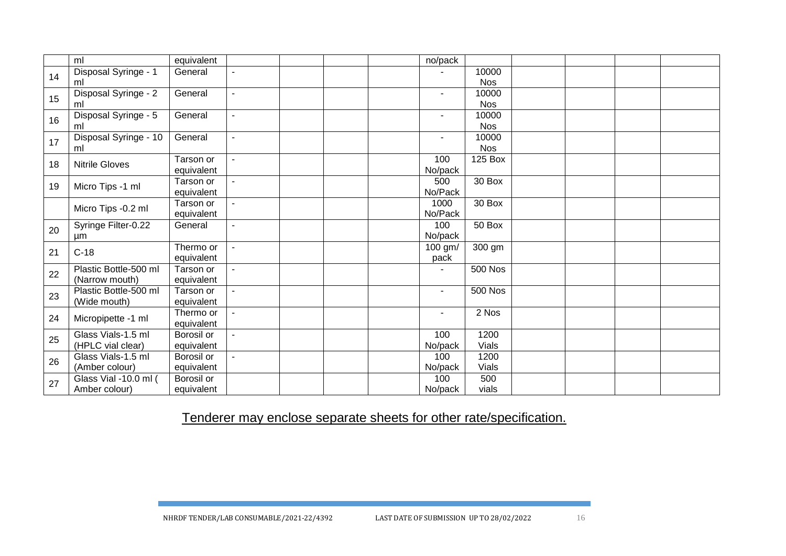|    | ml                    | equivalent        |                          |  | no/pack        |                |  |  |
|----|-----------------------|-------------------|--------------------------|--|----------------|----------------|--|--|
|    | Disposal Syringe - 1  | General           |                          |  |                | 10000          |  |  |
| 14 | ml                    |                   |                          |  |                | <b>Nos</b>     |  |  |
|    | Disposal Syringe - 2  | General           |                          |  | ٠              | 10000          |  |  |
| 15 | ml                    |                   |                          |  |                | <b>Nos</b>     |  |  |
| 16 | Disposal Syringe - 5  | General           | $\overline{\phantom{0}}$ |  | $\blacksquare$ | 10000          |  |  |
|    | ml                    |                   |                          |  |                | <b>Nos</b>     |  |  |
| 17 | Disposal Syringe - 10 | General           | $\overline{\phantom{a}}$ |  | $\blacksquare$ | 10000          |  |  |
|    | ml                    |                   |                          |  |                | Nos            |  |  |
| 18 | <b>Nitrile Gloves</b> | Tarson or         |                          |  | 100            | 125 Box        |  |  |
|    |                       | equivalent        |                          |  | No/pack        |                |  |  |
| 19 |                       | Tarson or         |                          |  | 500            | 30 Box         |  |  |
|    | Micro Tips -1 ml      | equivalent        |                          |  | No/Pack        |                |  |  |
|    | Micro Tips -0.2 ml    | Tarson or         |                          |  | 1000           | 30 Box         |  |  |
|    |                       | equivalent        |                          |  | No/Pack        |                |  |  |
| 20 | Syringe Filter-0.22   | General           | L,                       |  | 100            | 50 Box         |  |  |
|    | μm                    |                   |                          |  | No/pack        |                |  |  |
| 21 | $C-18$                | Thermo or         | $\blacksquare$           |  | 100 gm/        | 300 gm         |  |  |
|    |                       | equivalent        |                          |  | pack           |                |  |  |
| 22 | Plastic Bottle-500 ml | Tarson or         |                          |  |                | <b>500 Nos</b> |  |  |
|    | (Narrow mouth)        | equivalent        |                          |  |                |                |  |  |
| 23 | Plastic Bottle-500 ml | Tarson or         |                          |  | ٠              | <b>500 Nos</b> |  |  |
|    | (Wide mouth)          | equivalent        |                          |  |                |                |  |  |
| 24 | Micropipette -1 ml    | Thermo or         |                          |  | ٠              | 2 Nos          |  |  |
|    |                       | equivalent        |                          |  |                |                |  |  |
| 25 | Glass Vials-1.5 ml    | <b>Borosil or</b> |                          |  | 100            | 1200           |  |  |
|    | (HPLC vial clear)     | equivalent        |                          |  | No/pack        | Vials          |  |  |
| 26 | Glass Vials-1.5 ml    | Borosil or        |                          |  | 100            | 1200           |  |  |
|    | (Amber colour)        | equivalent        |                          |  | No/pack        | <b>Vials</b>   |  |  |
| 27 | Glass Vial -10.0 ml ( | Borosil or        |                          |  | 100            | 500            |  |  |
|    | Amber colour)         | equivalent        |                          |  | No/pack        | vials          |  |  |

Tenderer may enclose separate sheets for other rate/specification.